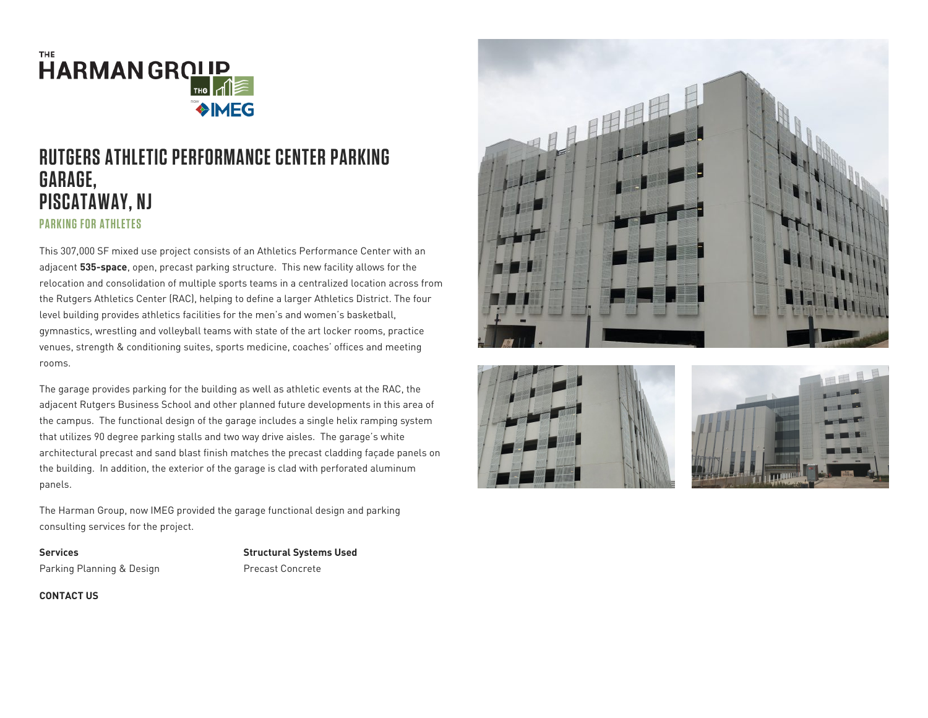

## **RUTGERS ATHLETIC PERFORMANCE CENTER PARKING GARAGE, PISCATAWAY, NJ PARKING FOR ATHLETES**

This 307,000 SF mixed use project consists of an Athletics Performance Center with an adjacent 535-space, open, precast parking structure. This new facility allows for the relocation and consolidation of multiple sports teams in a centralized location across from the Rutgers Athletics Center (RAC), helping to define a larger Athletics District. The four level building provides athletics facilities for the men's and women's basketball, gymnastics, wrestling and volleyball teams with state of the art locker rooms, practice venues, strength & conditioning suites, sports medicine, coaches' offices and meeting rooms.

The garage provides parking for the building as well as athletic events at the RAC, the adjacent Rutgers Business School and other planned future developments in this area of the campus. The functional design of the garage includes a single helix ramping system that utilizes 90 degree parking stalls and two way drive aisles. The garage's white architectural precast and sand blast finish matches the precast cladding façade panels on the building. In addition, the exterior of the garage is clad with perforated aluminum panels.

The Harman Group, now IMEG provided the garage functional design and parking consulting services for the project.

**Services** Parking Planning & Design Structural Systems Used Precast Concrete







CONTACT US